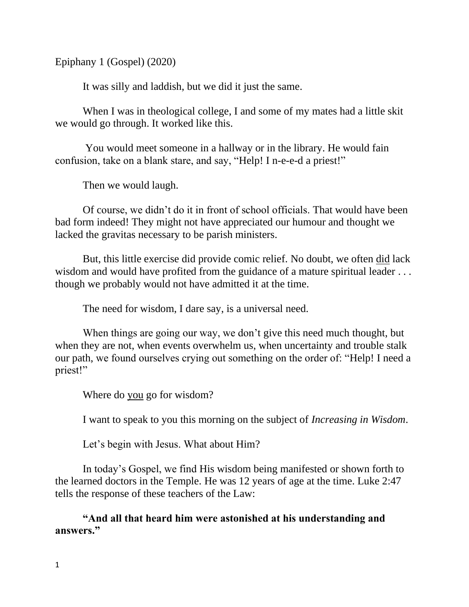Epiphany 1 (Gospel) (2020)

It was silly and laddish, but we did it just the same.

When I was in theological college, I and some of my mates had a little skit we would go through. It worked like this.

You would meet someone in a hallway or in the library. He would fain confusion, take on a blank stare, and say, "Help! I n-e-e-d a priest!"

Then we would laugh.

Of course, we didn't do it in front of school officials. That would have been bad form indeed! They might not have appreciated our humour and thought we lacked the gravitas necessary to be parish ministers.

But, this little exercise did provide comic relief. No doubt, we often did lack wisdom and would have profited from the guidance of a mature spiritual leader ... though we probably would not have admitted it at the time.

The need for wisdom, I dare say, is a universal need.

When things are going our way, we don't give this need much thought, but when they are not, when events overwhelm us, when uncertainty and trouble stalk our path, we found ourselves crying out something on the order of: "Help! I need a priest!"

Where do you go for wisdom?

I want to speak to you this morning on the subject of *Increasing in Wisdom*.

Let's begin with Jesus. What about Him?

In today's Gospel, we find His wisdom being manifested or shown forth to the learned doctors in the Temple. He was 12 years of age at the time. Luke 2:47 tells the response of these teachers of the Law:

**"And all that heard him were astonished at his understanding and answers."**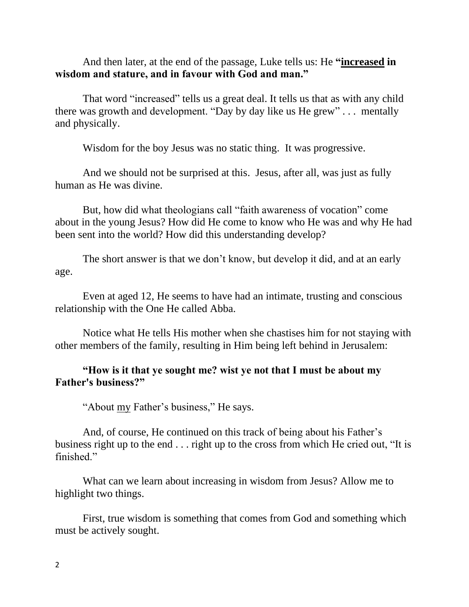And then later, at the end of the passage, Luke tells us: He **"increased in wisdom and stature, and in favour with God and man."**

That word "increased" tells us a great deal. It tells us that as with any child there was growth and development. "Day by day like us He grew" . . . mentally and physically.

Wisdom for the boy Jesus was no static thing. It was progressive.

And we should not be surprised at this. Jesus, after all, was just as fully human as He was divine.

But, how did what theologians call "faith awareness of vocation" come about in the young Jesus? How did He come to know who He was and why He had been sent into the world? How did this understanding develop?

The short answer is that we don't know, but develop it did, and at an early age.

Even at aged 12, He seems to have had an intimate, trusting and conscious relationship with the One He called Abba.

Notice what He tells His mother when she chastises him for not staying with other members of the family, resulting in Him being left behind in Jerusalem:

# **"How is it that ye sought me? wist ye not that I must be about my Father's business?"**

"About my Father's business," He says.

And, of course, He continued on this track of being about his Father's business right up to the end . . . right up to the cross from which He cried out, "It is finished."

What can we learn about increasing in wisdom from Jesus? Allow me to highlight two things.

First, true wisdom is something that comes from God and something which must be actively sought.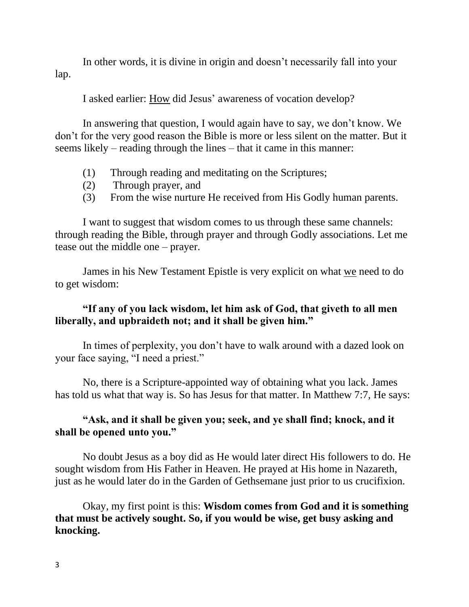In other words, it is divine in origin and doesn't necessarily fall into your lap.

I asked earlier: How did Jesus' awareness of vocation develop?

In answering that question, I would again have to say, we don't know. We don't for the very good reason the Bible is more or less silent on the matter. But it seems likely – reading through the lines – that it came in this manner:

- (1) Through reading and meditating on the Scriptures;
- (2) Through prayer, and
- (3) From the wise nurture He received from His Godly human parents.

I want to suggest that wisdom comes to us through these same channels: through reading the Bible, through prayer and through Godly associations. Let me tease out the middle one – prayer.

James in his New Testament Epistle is very explicit on what we need to do to get wisdom:

### **"If any of you lack wisdom, let him ask of God, that giveth to all men liberally, and upbraideth not; and it shall be given him."**

In times of perplexity, you don't have to walk around with a dazed look on your face saying, "I need a priest."

No, there is a Scripture-appointed way of obtaining what you lack. James has told us what that way is. So has Jesus for that matter. In Matthew 7:7, He says:

# **"Ask, and it shall be given you; seek, and ye shall find; knock, and it shall be opened unto you."**

No doubt Jesus as a boy did as He would later direct His followers to do. He sought wisdom from His Father in Heaven. He prayed at His home in Nazareth, just as he would later do in the Garden of Gethsemane just prior to us crucifixion.

Okay, my first point is this: **Wisdom comes from God and it is something that must be actively sought. So, if you would be wise, get busy asking and knocking.**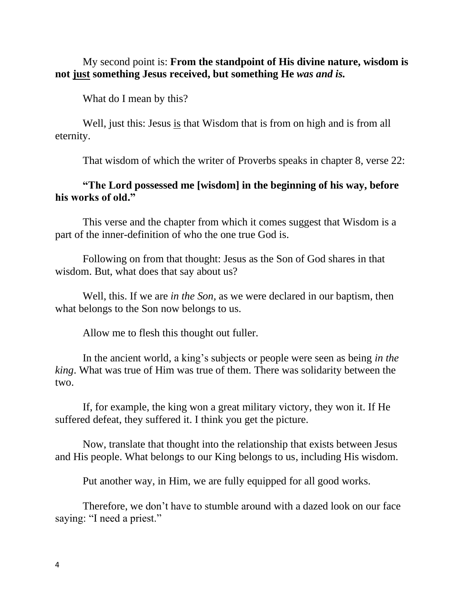My second point is: **From the standpoint of His divine nature, wisdom is not just something Jesus received, but something He** *was and is.*

What do I mean by this?

Well, just this: Jesus is that Wisdom that is from on high and is from all eternity.

That wisdom of which the writer of Proverbs speaks in chapter 8, verse 22:

### **"The Lord possessed me [wisdom] in the beginning of his way, before his works of old."**

This verse and the chapter from which it comes suggest that Wisdom is a part of the inner-definition of who the one true God is.

Following on from that thought: Jesus as the Son of God shares in that wisdom. But, what does that say about us?

Well, this. If we are *in the Son,* as we were declared in our baptism, then what belongs to the Son now belongs to us.

Allow me to flesh this thought out fuller.

In the ancient world, a king's subjects or people were seen as being *in the king*. What was true of Him was true of them. There was solidarity between the two.

If, for example, the king won a great military victory, they won it. If He suffered defeat, they suffered it. I think you get the picture.

Now, translate that thought into the relationship that exists between Jesus and His people. What belongs to our King belongs to us, including His wisdom.

Put another way, in Him, we are fully equipped for all good works.

Therefore, we don't have to stumble around with a dazed look on our face saying: "I need a priest."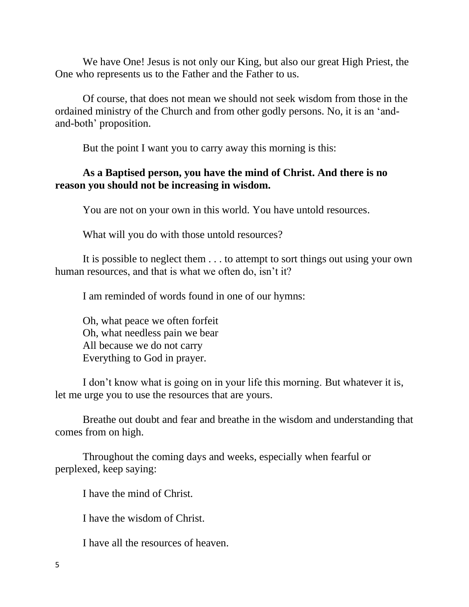We have One! Jesus is not only our King, but also our great High Priest, the One who represents us to the Father and the Father to us.

Of course, that does not mean we should not seek wisdom from those in the ordained ministry of the Church and from other godly persons. No, it is an 'andand-both' proposition.

But the point I want you to carry away this morning is this:

### **As a Baptised person, you have the mind of Christ. And there is no reason you should not be increasing in wisdom.**

You are not on your own in this world. You have untold resources.

What will you do with those untold resources?

It is possible to neglect them . . . to attempt to sort things out using your own human resources, and that is what we often do, isn't it?

I am reminded of words found in one of our hymns:

Oh, what peace we often forfeit Oh, what needless pain we bear All because we do not carry Everything to God in prayer.

I don't know what is going on in your life this morning. But whatever it is, let me urge you to use the resources that are yours.

Breathe out doubt and fear and breathe in the wisdom and understanding that comes from on high.

Throughout the coming days and weeks, especially when fearful or perplexed, keep saying:

I have the mind of Christ.

I have the wisdom of Christ.

I have all the resources of heaven.